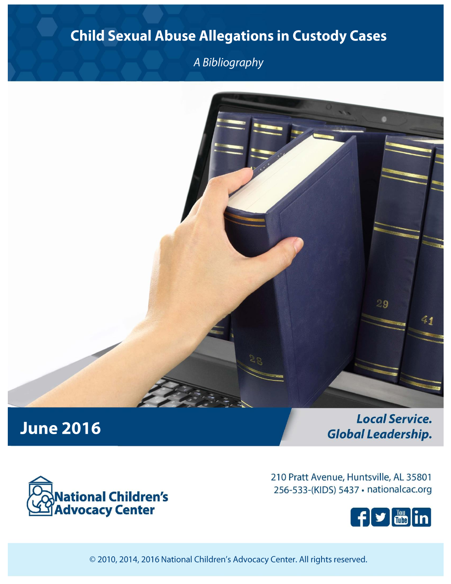# **Child Sexual Abuse Allegations in Custody Cases**

A Bibliography



# **June 2016**

**Local Service. Global Leadership.** 



210 Pratt Avenue, Huntsville, AL 35801 256-533-(KIDS) 5437 · nationalcac.org



© 2010, 2014, 2016 National Children's Advocacy Center. All rights reserved.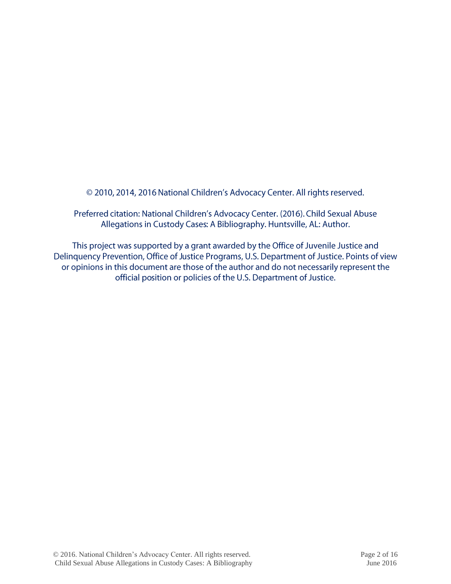© 2010, 2014, 2016 National Children's Advocacy Center. All rights reserved.

Preferred citation: National Children's Advocacy Center. (2016). Child Sexual Abuse Allegations in Custody Cases: A Bibliography. Huntsville, AL: Author.

This project was supported by a grant awarded by the Office of Juvenile Justice and Delinquency Prevention, Office of Justice Programs, U.S. Department of Justice. Points of view or opinions in this document are those of the author and do not necessarily represent the official position or policies of the U.S. Department of Justice.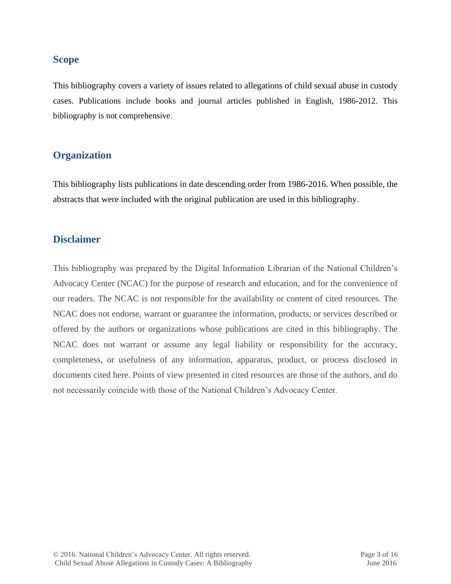# **Scope**

This bibliography covers a variety of issues related to allegations of child sexual abuse in custody cases. Publications include books and journal articles published in English, 1986-2012. This bibliography is not comprehensive.

# **Organization**

This bibliography lists publications in date descending order from 1986-2016. When possible, the abstracts that were included with the original publication are used in this bibliography.

# **Disclaimer**

This bibliography was prepared by the Digital Information Librarian of the National Children's Advocacy Center (NCAC) for the purpose of research and education, and for the convenience of our readers. The NCAC is not responsible for the availability or content of cited resources. The NCAC does not endorse, warrant or guarantee the information, products, or services described or offered by the authors or organizations whose publications are cited in this bibliography. The NCAC does not warrant or assume any legal liability or responsibility for the accuracy, completeness, or usefulness of any information, apparatus, product, or process disclosed in documents cited here. Points of view presented in cited resources are those of the authors, and do not necessarily coincide with those of the National Children's Advocacy Center.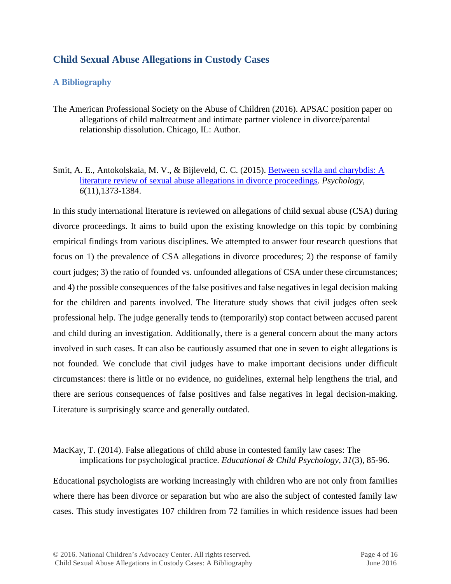# **Child Sexual Abuse Allegations in Custody Cases**

# **A Bibliography**

- The American Professional Society on the Abuse of Children (2016). APSAC position paper on allegations of child maltreatment and intimate partner violence in divorce/parental relationship dissolution. Chicago, IL: Author.
- Smit, A. E., Antokolskaia, M. V., & Bijleveld, C. C. (2015). [Between scylla and charybdis: A](http://dare.ubvu.vu.nl/bitstream/handle/1871/53778/Between%20Scylla%20and%20Charybdis.pdf?sequence=1)  [literature review of sexual abuse allegations in divorce proceedings.](http://dare.ubvu.vu.nl/bitstream/handle/1871/53778/Between%20Scylla%20and%20Charybdis.pdf?sequence=1) *Psychology, 6*(11),1373-1384.

In this study international literature is reviewed on allegations of child sexual abuse (CSA) during divorce proceedings. It aims to build upon the existing knowledge on this topic by combining empirical findings from various disciplines. We attempted to answer four research questions that focus on 1) the prevalence of CSA allegations in divorce procedures; 2) the response of family court judges; 3) the ratio of founded vs. unfounded allegations of CSA under these circumstances; and 4) the possible consequences of the false positives and false negatives in legal decision making for the children and parents involved. The literature study shows that civil judges often seek professional help. The judge generally tends to (temporarily) stop contact between accused parent and child during an investigation. Additionally, there is a general concern about the many actors involved in such cases. It can also be cautiously assumed that one in seven to eight allegations is not founded. We conclude that civil judges have to make important decisions under difficult circumstances: there is little or no evidence, no guidelines, external help lengthens the trial, and there are serious consequences of false positives and false negatives in legal decision-making. Literature is surprisingly scarce and generally outdated.

MacKay, T. (2014). False allegations of child abuse in contested family law cases: The implications for psychological practice. *Educational & Child Psychology*, *31*(3), 85-96.

Educational psychologists are working increasingly with children who are not only from families where there has been divorce or separation but who are also the subject of contested family law cases. This study investigates 107 children from 72 families in which residence issues had been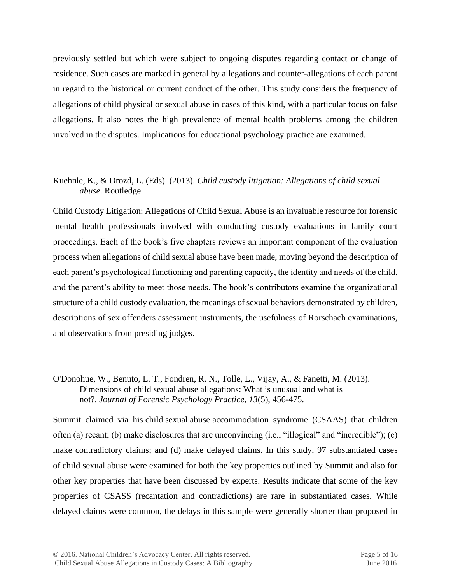previously settled but which were subject to ongoing disputes regarding contact or change of residence. Such cases are marked in general by allegations and counter-allegations of each parent in regard to the historical or current conduct of the other. This study considers the frequency of allegations of child physical or sexual abuse in cases of this kind, with a particular focus on false allegations. It also notes the high prevalence of mental health problems among the children involved in the disputes. Implications for educational psychology practice are examined*.*

# Kuehnle, K., & Drozd, L. (Eds). (2013). *Child custody litigation: Allegations of child sexual abuse*. Routledge.

Child Custody Litigation: Allegations of Child Sexual Abuse is an invaluable resource for forensic mental health professionals involved with conducting custody evaluations in family court proceedings. Each of the book's five chapters reviews an important component of the evaluation process when allegations of child sexual abuse have been made, moving beyond the description of each parent's psychological functioning and parenting capacity, the identity and needs of the child, and the parent's ability to meet those needs. The book's contributors examine the organizational structure of a child custody evaluation, the meanings of sexual behaviors demonstrated by children, descriptions of sex offenders assessment instruments, the usefulness of Rorschach examinations, and observations from presiding judges.

#### O'Donohue, W., Benuto, L. T., Fondren, R. N., Tolle, L., Vijay, A., & Fanetti, M. (2013). Dimensions of child sexual abuse allegations: What is unusual and what is not?. *Journal of Forensic Psychology Practice*, *13*(5), 456-475.

Summit claimed via his child sexual abuse accommodation syndrome (CSAAS) that children often (a) recant; (b) make disclosures that are unconvincing (i.e., "illogical" and "incredible"); (c) make contradictory claims; and (d) make delayed claims. In this study, 97 substantiated cases of child sexual abuse were examined for both the key properties outlined by Summit and also for other key properties that have been discussed by experts. Results indicate that some of the key properties of CSASS (recantation and contradictions) are rare in substantiated cases. While delayed claims were common, the delays in this sample were generally shorter than proposed in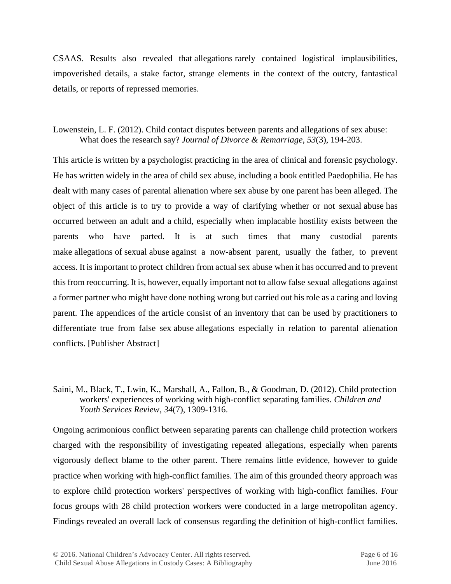CSAAS. Results also revealed that allegations rarely contained logistical implausibilities, impoverished details, a stake factor, strange elements in the context of the outcry, fantastical details, or reports of repressed memories.

# Lowenstein, L. F. (2012). Child contact disputes between parents and allegations of sex abuse: What does the research say? *Journal of Divorce & Remarriage*, *53*(3), 194-203.

This article is written by a psychologist practicing in the area of clinical and forensic psychology. He has written widely in the area of child sex abuse, including a book entitled Paedophilia. He has dealt with many cases of parental alienation where sex abuse by one parent has been alleged. The object of this article is to try to provide a way of clarifying whether or not sexual abuse has occurred between an adult and a child, especially when implacable hostility exists between the parents who have parted. It is at such times that many custodial parents make allegations of sexual abuse against a now-absent parent, usually the father, to prevent access. It is important to protect children from actual sex abuse when it has occurred and to prevent this from reoccurring. It is, however, equally important not to allow false sexual allegations against a former partner who might have done nothing wrong but carried out his role as a caring and loving parent. The appendices of the article consist of an inventory that can be used by practitioners to differentiate true from false sex abuse allegations especially in relation to parental alienation conflicts. [Publisher Abstract]

# Saini, M., Black, T., Lwin, K., Marshall, A., Fallon, B., & Goodman, D. (2012). Child protection workers' experiences of working with high-conflict separating families. *Children and Youth Services Review*, *34*(7), 1309-1316.

Ongoing acrimonious conflict between separating parents can challenge child protection workers charged with the responsibility of investigating repeated allegations, especially when parents vigorously deflect blame to the other parent. There remains little evidence, however to guide practice when working with high-conflict families. The aim of this grounded theory approach was to explore child protection workers' perspectives of working with high-conflict families. Four focus groups with 28 child protection workers were conducted in a large metropolitan agency. Findings revealed an overall lack of consensus regarding the definition of high-conflict families.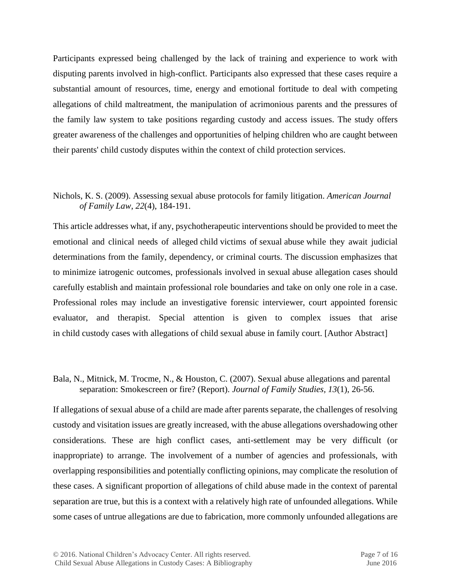Participants expressed being challenged by the lack of training and experience to work with disputing parents involved in high-conflict. Participants also expressed that these cases require a substantial amount of resources, time, energy and emotional fortitude to deal with competing allegations of child maltreatment, the manipulation of acrimonious parents and the pressures of the family law system to take positions regarding custody and access issues. The study offers greater awareness of the challenges and opportunities of helping children who are caught between their parents' child custody disputes within the context of child protection services.

# Nichols, K. S. (2009). Assessing sexual abuse protocols for family litigation. *American Journal of Family Law*, *22*(4), 184-191.

This article addresses what, if any, psychotherapeutic interventions should be provided to meet the emotional and clinical needs of alleged child victims of sexual abuse while they await judicial determinations from the family, dependency, or criminal courts. The discussion emphasizes that to minimize iatrogenic outcomes, professionals involved in sexual abuse allegation cases should carefully establish and maintain professional role boundaries and take on only one role in a case. Professional roles may include an investigative forensic interviewer, court appointed forensic evaluator, and therapist. Special attention is given to complex issues that arise in child custody cases with allegations of child sexual abuse in family court. [Author Abstract]

#### Bala, N., Mitnick, M. Trocme, N., & Houston, C. (2007). Sexual abuse allegations and parental separation: Smokescreen or fire? (Report). *Journal of Family Studies, 13*(1), 26-56.

If allegations of sexual abuse of a child are made after parents separate, the challenges of resolving custody and visitation issues are greatly increased, with the abuse allegations overshadowing other considerations. These are high conflict cases, anti-settlement may be very difficult (or inappropriate) to arrange. The involvement of a number of agencies and professionals, with overlapping responsibilities and potentially conflicting opinions, may complicate the resolution of these cases. A significant proportion of allegations of child abuse made in the context of parental separation are true, but this is a context with a relatively high rate of unfounded allegations. While some cases of untrue allegations are due to fabrication, more commonly unfounded allegations are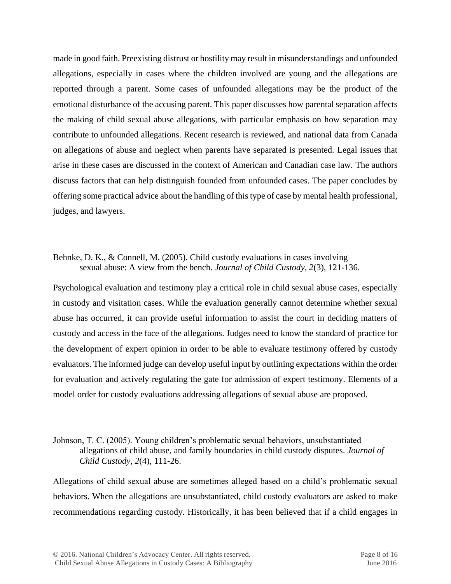made in good faith. Preexisting distrust or hostility may result in misunderstandings and unfounded allegations, especially in cases where the children involved are young and the allegations are reported through a parent. Some cases of unfounded allegations may be the product of the emotional disturbance of the accusing parent. This paper discusses how parental separation affects the making of child sexual abuse allegations, with particular emphasis on how separation may contribute to unfounded allegations. Recent research is reviewed, and national data from Canada on allegations of abuse and neglect when parents have separated is presented. Legal issues that arise in these cases are discussed in the context of American and Canadian case law. The authors discuss factors that can help distinguish founded from unfounded cases. The paper concludes by offering some practical advice about the handling of this type of case by mental health professional, judges, and lawyers.

# Behnke, D. K., & Connell, M. (2005). Child custody evaluations in cases involving sexual abuse: A view from the bench. *Journal of Child Custody, 2*(3), 121-136.

Psychological evaluation and testimony play a critical role in child sexual abuse cases, especially in custody and visitation cases. While the evaluation generally cannot determine whether sexual abuse has occurred, it can provide useful information to assist the court in deciding matters of custody and access in the face of the allegations. Judges need to know the standard of practice for the development of expert opinion in order to be able to evaluate testimony offered by custody evaluators. The informed judge can develop useful input by outlining expectations within the order for evaluation and actively regulating the gate for admission of expert testimony. Elements of a model order for custody evaluations addressing allegations of sexual abuse are proposed.

# Johnson, T. C. (2005). Young children's problematic sexual behaviors, unsubstantiated allegations of child abuse, and family boundaries in child custody disputes. *Journal of Child Custody*, *2*(4), 111-26.

Allegations of child sexual abuse are sometimes alleged based on a child's problematic sexual behaviors. When the allegations are unsubstantiated, child custody evaluators are asked to make recommendations regarding custody. Historically, it has been believed that if a child engages in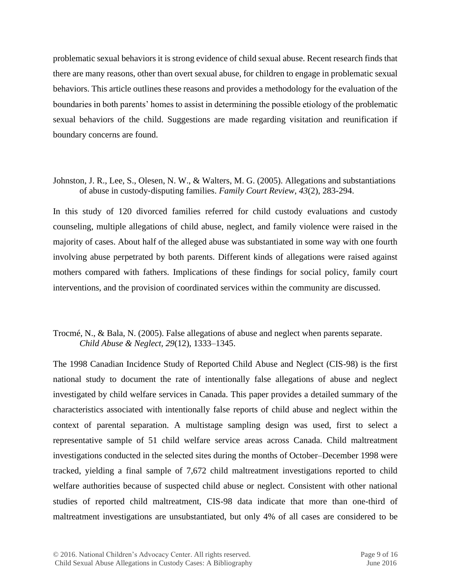problematic sexual behaviors it is strong evidence of child sexual abuse. Recent research finds that there are many reasons, other than overt sexual abuse, for children to engage in problematic sexual behaviors. This article outlines these reasons and provides a methodology for the evaluation of the boundaries in both parents' homes to assist in determining the possible etiology of the problematic sexual behaviors of the child. Suggestions are made regarding visitation and reunification if boundary concerns are found.

Johnston, J. R., Lee, S., Olesen, N. W., & Walters, M. G. (2005). Allegations and substantiations of abuse in custody‐disputing families. *Family Court Review*, *43*(2), 283-294.

In this study of 120 divorced families referred for child custody evaluations and custody counseling, multiple allegations of child abuse, neglect, and family violence were raised in the majority of cases. About half of the alleged abuse was substantiated in some way with one fourth involving abuse perpetrated by both parents. Different kinds of allegations were raised against mothers compared with fathers. Implications of these findings for social policy, family court interventions, and the provision of coordinated services within the community are discussed.

# Trocmé, N., & Bala, N. (2005). False allegations of abuse and neglect when parents separate. *Child Abuse & Neglect, 29*(12), 1333–1345.

The 1998 Canadian Incidence Study of Reported Child Abuse and Neglect (CIS-98) is the first national study to document the rate of intentionally false allegations of abuse and neglect investigated by child welfare services in Canada. This paper provides a detailed summary of the characteristics associated with intentionally false reports of child abuse and neglect within the context of parental separation. A multistage sampling design was used, first to select a representative sample of 51 child welfare service areas across Canada. Child maltreatment investigations conducted in the selected sites during the months of October–December 1998 were tracked, yielding a final sample of 7,672 child maltreatment investigations reported to child welfare authorities because of suspected child abuse or neglect. Consistent with other national studies of reported child maltreatment, CIS-98 data indicate that more than one-third of maltreatment investigations are unsubstantiated, but only 4% of all cases are considered to be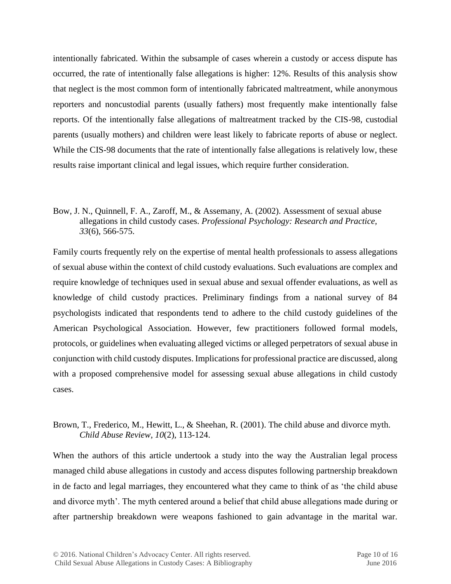intentionally fabricated. Within the subsample of cases wherein a custody or access dispute has occurred, the rate of intentionally false allegations is higher: 12%. Results of this analysis show that neglect is the most common form of intentionally fabricated maltreatment, while anonymous reporters and noncustodial parents (usually fathers) most frequently make intentionally false reports. Of the intentionally false allegations of maltreatment tracked by the CIS-98, custodial parents (usually mothers) and children were least likely to fabricate reports of abuse or neglect. While the CIS-98 documents that the rate of intentionally false allegations is relatively low, these results raise important clinical and legal issues, which require further consideration.

# Bow, J. N., Quinnell, F. A., Zaroff, M., & Assemany, A. (2002). Assessment of sexual abuse allegations in child custody cases. *Professional Psychology: Research and Practice, 33*(6), 566-575.

Family courts frequently rely on the expertise of mental health professionals to assess allegations of sexual abuse within the context of child custody evaluations. Such evaluations are complex and require knowledge of techniques used in sexual abuse and sexual offender evaluations, as well as knowledge of child custody practices. Preliminary findings from a national survey of 84 psychologists indicated that respondents tend to adhere to the child custody guidelines of the American Psychological Association. However, few practitioners followed formal models, protocols, or guidelines when evaluating alleged victims or alleged perpetrators of sexual abuse in conjunction with child custody disputes. Implications for professional practice are discussed, along with a proposed comprehensive model for assessing sexual abuse allegations in child custody cases.

# Brown, T., Frederico, M., Hewitt, L., & Sheehan, R. (2001). The child abuse and divorce myth. *Child Abuse Review*, *10*(2), 113-124.

When the authors of this article undertook a study into the way the Australian legal process managed child abuse allegations in custody and access disputes following partnership breakdown in de facto and legal marriages, they encountered what they came to think of as 'the child abuse and divorce myth'. The myth centered around a belief that child abuse allegations made during or after partnership breakdown were weapons fashioned to gain advantage in the marital war.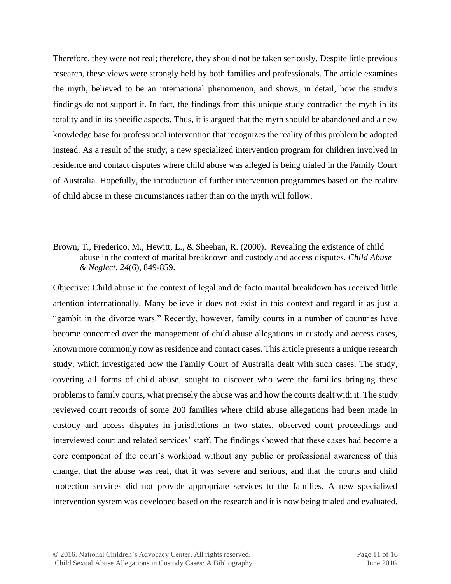Therefore, they were not real; therefore, they should not be taken seriously. Despite little previous research, these views were strongly held by both families and professionals. The article examines the myth, believed to be an international phenomenon, and shows, in detail, how the study's findings do not support it. In fact, the findings from this unique study contradict the myth in its totality and in its specific aspects. Thus, it is argued that the myth should be abandoned and a new knowledge base for professional intervention that recognizes the reality of this problem be adopted instead. As a result of the study, a new specialized intervention program for children involved in residence and contact disputes where child abuse was alleged is being trialed in the Family Court of Australia. Hopefully, the introduction of further intervention programmes based on the reality of child abuse in these circumstances rather than on the myth will follow.

# Brown, T., Frederico, M., Hewitt, L., & Sheehan, R. (2000). Revealing the existence of child abuse in the context of marital breakdown and custody and access disputes. *Child Abuse & Neglect*, *24*(6), 849-859.

Objective: Child abuse in the context of legal and de facto marital breakdown has received little attention internationally. Many believe it does not exist in this context and regard it as just a "gambit in the divorce wars." Recently, however, family courts in a number of countries have become concerned over the management of child abuse allegations in custody and access cases, known more commonly now as residence and contact cases. This article presents a unique research study, which investigated how the Family Court of Australia dealt with such cases. The study, covering all forms of child abuse, sought to discover who were the families bringing these problems to family courts, what precisely the abuse was and how the courts dealt with it. The study reviewed court records of some 200 families where child abuse allegations had been made in custody and access disputes in jurisdictions in two states, observed court proceedings and interviewed court and related services' staff. The findings showed that these cases had become a core component of the court's workload without any public or professional awareness of this change, that the abuse was real, that it was severe and serious, and that the courts and child protection services did not provide appropriate services to the families. A new specialized intervention system was developed based on the research and it is now being trialed and evaluated.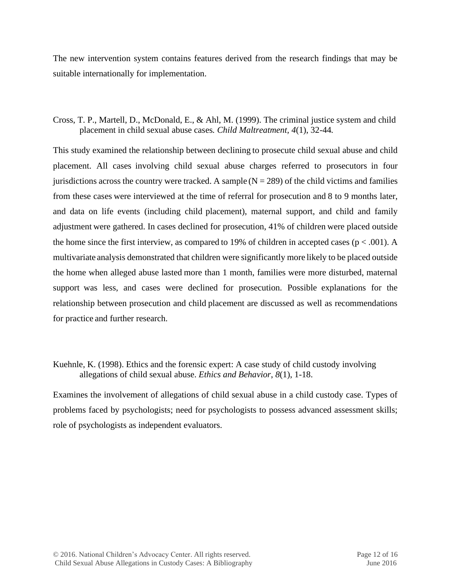The new intervention system contains features derived from the research findings that may be suitable internationally for implementation.

Cross, T. P., Martell, D., McDonald, E., & Ahl, M. (1999). The criminal justice system and child placement in child sexual abuse cases*. Child Maltreatment, 4*(1), 32-44*.*

This study examined the relationship between declining to prosecute child sexual abuse and child placement. All cases involving child sexual abuse charges referred to prosecutors in four jurisdictions across the country were tracked. A sample  $(N = 289)$  of the child victims and families from these cases were interviewed at the time of referral for prosecution and 8 to 9 months later, and data on life events (including child placement), maternal support, and child and family adjustment were gathered. In cases declined for prosecution, 41% of children were placed outside the home since the first interview, as compared to 19% of children in accepted cases ( $p < .001$ ). A multivariate analysis demonstrated that children were significantly more likely to be placed outside the home when alleged abuse lasted more than 1 month, families were more disturbed, maternal support was less, and cases were declined for prosecution. Possible explanations for the relationship between prosecution and child placement are discussed as well as recommendations for practice and further research.

Kuehnle, K. (1998). Ethics and the forensic expert: A case study of child custody involving allegations of child sexual abuse. *Ethics and Behavior*, *8*(1), 1-18.

Examines the involvement of allegations of child sexual abuse in a child custody case. Types of problems faced by psychologists; need for psychologists to possess advanced assessment skills; role of psychologists as independent evaluators.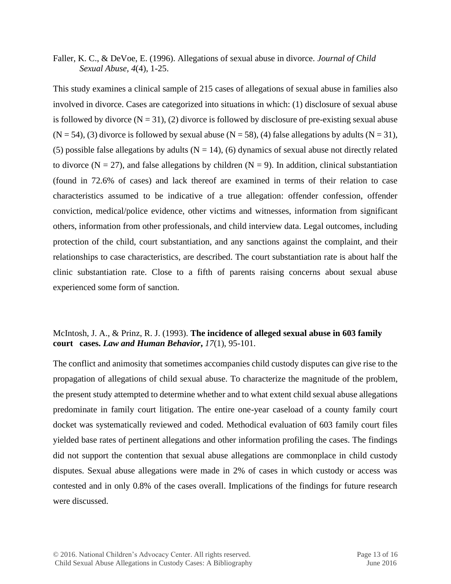Faller, K. C., & DeVoe, E. (1996). Allegations of sexual abuse in divorce. *Journal of Child Sexual Abuse, 4*(4), 1-25.

This study examines a clinical sample of 215 cases of allegations of sexual abuse in families also involved in divorce. Cases are categorized into situations in which: (1) disclosure of sexual abuse is followed by divorce  $(N = 31)$ , (2) divorce is followed by disclosure of pre-existing sexual abuse  $(N = 54)$ , (3) divorce is followed by sexual abuse  $(N = 58)$ , (4) false allegations by adults  $(N = 31)$ , (5) possible false allegations by adults  $(N = 14)$ , (6) dynamics of sexual abuse not directly related to divorce ( $N = 27$ ), and false allegations by children ( $N = 9$ ). In addition, clinical substantiation (found in 72.6% of cases) and lack thereof are examined in terms of their relation to case characteristics assumed to be indicative of a true allegation: offender confession, offender conviction, medical/police evidence, other victims and witnesses, information from significant others, information from other professionals, and child interview data. Legal outcomes, including protection of the child, court substantiation, and any sanctions against the complaint, and their relationships to case characteristics, are described. The court substantiation rate is about half the clinic substantiation rate. Close to a fifth of parents raising concerns about sexual abuse experienced some form of sanction.

# McIntosh, J. A., & Prinz, R. J. (1993). **The incidence of alleged sexual abuse in 603 family court cases.** *Law and Human Behavior***,** *17*(1), 95-101.

The conflict and animosity that sometimes accompanies child custody disputes can give rise to the propagation of allegations of child sexual abuse. To characterize the magnitude of the problem, the present study attempted to determine whether and to what extent child sexual abuse allegations predominate in family court litigation. The entire one-year caseload of a county family court docket was systematically reviewed and coded. Methodical evaluation of 603 family court files yielded base rates of pertinent allegations and other information profiling the cases. The findings did not support the contention that sexual abuse allegations are commonplace in child custody disputes. Sexual abuse allegations were made in 2% of cases in which custody or access was contested and in only 0.8% of the cases overall. Implications of the findings for future research were discussed.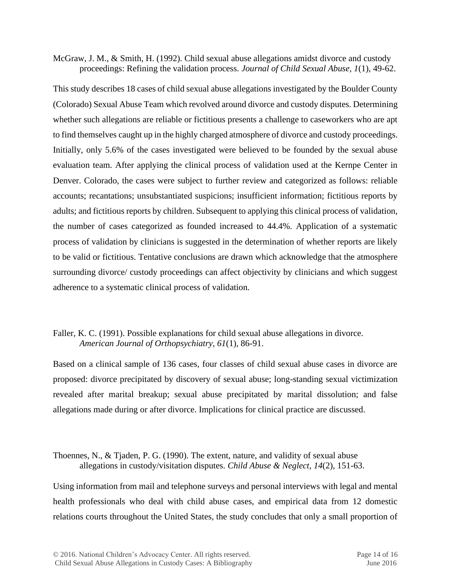McGraw, J. M., & Smith, H. (1992). Child sexual abuse allegations amidst divorce and custody proceedings: Refining the validation process. *Journal of Child Sexual Abuse, 1*(1), 49-62.

This study describes 18 cases of child sexual abuse allegations investigated by the Boulder County (Colorado) Sexual Abuse Team which revolved around divorce and custody disputes. Determining whether such allegations are reliable or fictitious presents a challenge to caseworkers who are apt to find themselves caught up in the highly charged atmosphere of divorce and custody proceedings. Initially, only 5.6% of the cases investigated were believed to be founded by the sexual abuse evaluation team. After applying the clinical process of validation used at the Kernpe Center in Denver. Colorado, the cases were subject to further review and categorized as follows: reliable accounts; recantations; unsubstantiated suspicions; insufficient information; fictitious reports by adults; and fictitious reports by children. Subsequent to applying this clinical process of validation, the number of cases categorized as founded increased to 44.4%. Application of a systematic process of validation by clinicians is suggested in the determination of whether reports are likely to be valid or fictitious. Tentative conclusions are drawn which acknowledge that the atmosphere surrounding divorce/ custody proceedings can affect objectivity by clinicians and which suggest adherence to a systematic clinical process of validation.

# Faller, K. C. (1991). Possible explanations for child sexual abuse allegations in divorce. *American Journal of Orthopsychiatry, 61*(1), 86-91.

Based on a clinical sample of 136 cases, four classes of child sexual abuse cases in divorce are proposed: divorce precipitated by discovery of sexual abuse; long-standing sexual victimization revealed after marital breakup; sexual abuse precipitated by marital dissolution; and false allegations made during or after divorce. Implications for clinical practice are discussed.

# Thoennes, N., & Tjaden, P. G. (1990). The extent, nature, and validity of sexual abuse allegations in custody/visitation disputes. *Child Abuse & Neglect*, *14*(2), 151-63.

Using information from mail and telephone surveys and personal interviews with legal and mental health professionals who deal with child abuse cases, and empirical data from 12 domestic relations courts throughout the United States, the study concludes that only a small proportion of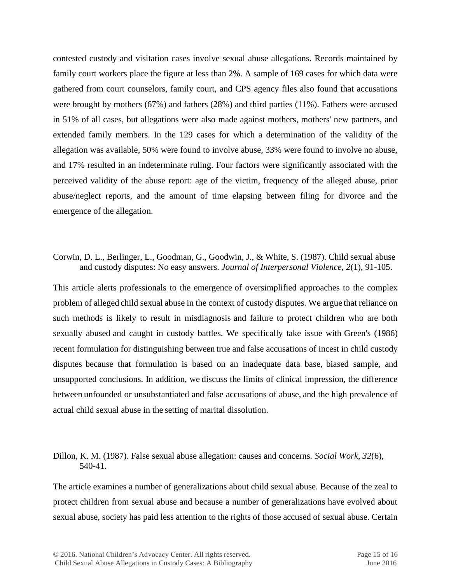contested custody and visitation cases involve sexual abuse allegations. Records maintained by family court workers place the figure at less than 2%. A sample of 169 cases for which data were gathered from court counselors, family court, and CPS agency files also found that accusations were brought by mothers (67%) and fathers (28%) and third parties (11%). Fathers were accused in 51% of all cases, but allegations were also made against mothers, mothers' new partners, and extended family members. In the 129 cases for which a determination of the validity of the allegation was available, 50% were found to involve abuse, 33% were found to involve no abuse, and 17% resulted in an indeterminate ruling. Four factors were significantly associated with the perceived validity of the abuse report: age of the victim, frequency of the alleged abuse, prior abuse/neglect reports, and the amount of time elapsing between filing for divorce and the emergence of the allegation.

#### Corwin, D. L., Berlinger, L., Goodman, G., Goodwin, J., & White, S. (1987). Child sexual abuse and custody disputes: No easy answers. *Journal of Interpersonal Violence, 2*(1), 91-105.

This article alerts professionals to the emergence of oversimplified approaches to the complex problem of alleged child sexual abuse in the context of custody disputes. We argue that reliance on such methods is likely to result in misdiagnosis and failure to protect children who are both sexually abused and caught in custody battles. We specifically take issue with Green's (1986) recent formulation for distinguishing between true and false accusations of incest in child custody disputes because that formulation is based on an inadequate data base, biased sample, and unsupported conclusions. In addition, we discuss the limits of clinical impression, the difference between unfounded or unsubstantiated and false accusations of abuse, and the high prevalence of actual child sexual abuse in the setting of marital dissolution.

# Dillon, K. M. (1987). False sexual abuse allegation: causes and concerns. *Social Work*, *32*(6), 540-41.

The article examines a number of generalizations about child sexual abuse. Because of the zeal to protect children from sexual abuse and because a number of generalizations have evolved about sexual abuse, society has paid less attention to the rights of those accused of sexual abuse. Certain